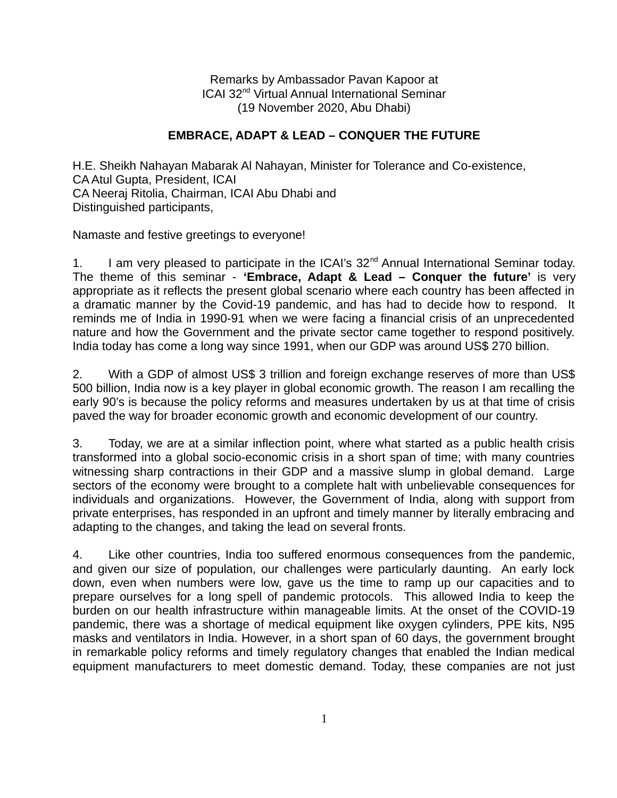Remarks by Ambassador Pavan Kapoor at ICAI 32nd Virtual Annual International Seminar (19 November 2020, Abu Dhabi)

## **EMBRACE, ADAPT & LEAD – CONQUER THE FUTURE**

H.E. Sheikh Nahayan Mabarak Al Nahayan, Minister for Tolerance and Co-existence, CA Atul Gupta, President, ICAI CA Neeraj Ritolia, Chairman, ICAI Abu Dhabi and Distinguished participants,

Namaste and festive greetings to everyone!

1. I am very pleased to participate in the ICAI's 32<sup>nd</sup> Annual International Seminar today. The theme of this seminar - **'Embrace, Adapt & Lead – Conquer the future'** is very appropriate as it reflects the present global scenario where each country has been affected in a dramatic manner by the Covid-19 pandemic, and has had to decide how to respond. It reminds me of India in 1990-91 when we were facing a financial crisis of an unprecedented nature and how the Government and the private sector came together to respond positively. India today has come a long way since 1991, when our GDP was around US\$ 270 billion.

2. With a GDP of almost US\$ 3 trillion and foreign exchange reserves of more than US\$ 500 billion, India now is a key player in global economic growth. The reason I am recalling the early 90's is because the policy reforms and measures undertaken by us at that time of crisis paved the way for broader economic growth and economic development of our country.

3. Today, we are at a similar inflection point, where what started as a public health crisis transformed into a global socio-economic crisis in a short span of time; with many countries witnessing sharp contractions in their GDP and a massive slump in global demand. Large sectors of the economy were brought to a complete halt with unbelievable consequences for individuals and organizations. However, the Government of India, along with support from private enterprises, has responded in an upfront and timely manner by literally embracing and adapting to the changes, and taking the lead on several fronts.

4. Like other countries, India too suffered enormous consequences from the pandemic, and given our size of population, our challenges were particularly daunting. An early lock down, even when numbers were low, gave us the time to ramp up our capacities and to prepare ourselves for a long spell of pandemic protocols. This allowed India to keep the burden on our health infrastructure within manageable limits. At the onset of the COVID-19 pandemic, there was a shortage of medical equipment like oxygen cylinders, PPE kits, N95 masks and ventilators in India. However, in a short span of 60 days, the government brought in remarkable policy reforms and timely regulatory changes that enabled the Indian medical equipment manufacturers to meet domestic demand. Today, these companies are not just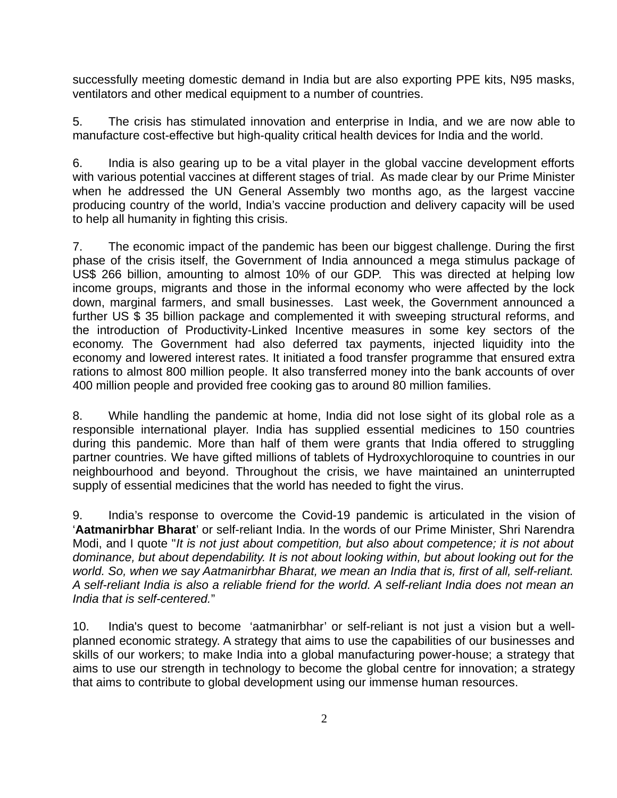successfully meeting domestic demand in India but are also exporting PPE kits, N95 masks, ventilators and other medical equipment to a number of countries.

5. The crisis has stimulated innovation and enterprise in India, and we are now able to manufacture cost-effective but high-quality critical health devices for India and the world.

6. India is also gearing up to be a vital player in the global vaccine development efforts with various potential vaccines at different stages of trial. As made clear by our Prime Minister when he addressed the UN General Assembly two months ago, as the largest vaccine producing country of the world, India's vaccine production and delivery capacity will be used to help all humanity in fighting this crisis.

7. The economic impact of the pandemic has been our biggest challenge. During the first phase of the crisis itself, the Government of India announced a mega stimulus package of US\$ 266 billion, amounting to almost 10% of our GDP. This was directed at helping low income groups, migrants and those in the informal economy who were affected by the lock down, marginal farmers, and small businesses. Last week, the Government announced a further US \$ 35 billion package and complemented it with sweeping structural reforms, and the introduction of Productivity-Linked Incentive measures in some key sectors of the economy. The Government had also deferred tax payments, injected liquidity into the economy and lowered interest rates. It initiated a food transfer programme that ensured extra rations to almost 800 million people. It also transferred money into the bank accounts of over 400 million people and provided free cooking gas to around 80 million families.

8. While handling the pandemic at home, India did not lose sight of its global role as a responsible international player. India has supplied essential medicines to 150 countries during this pandemic. More than half of them were grants that India offered to struggling partner countries. We have gifted millions of tablets of Hydroxychloroquine to countries in our neighbourhood and beyond. Throughout the crisis, we have maintained an uninterrupted supply of essential medicines that the world has needed to fight the virus.

9. India's response to overcome the Covid-19 pandemic is articulated in the vision of '**Aatmanirbhar Bharat**' or self-reliant India. In the words of our Prime Minister, Shri Narendra Modi, and I quote "*It is not just about competition, but also about competence; it is not about dominance, but about dependability. It is not about looking within, but about looking out for the world. So, when we say Aatmanirbhar Bharat, we mean an India that is, first of all, self-reliant. A self-reliant India is also a reliable friend for the world. A self-reliant India does not mean an India that is self-centered.*"

10. India's quest to become 'aatmanirbhar' or self-reliant is not just a vision but a wellplanned economic strategy. A strategy that aims to use the capabilities of our businesses and skills of our workers; to make India into a global manufacturing power-house; a strategy that aims to use our strength in technology to become the global centre for innovation; a strategy that aims to contribute to global development using our immense human resources.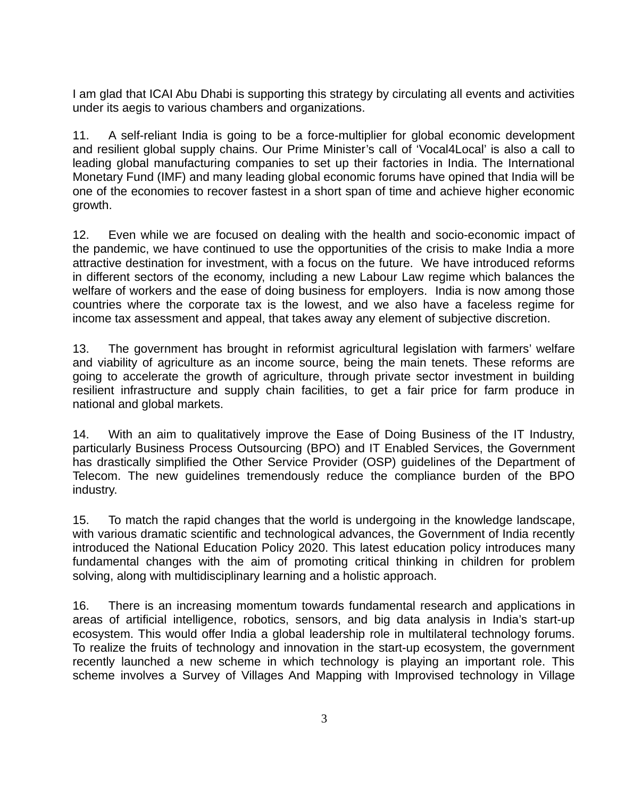I am glad that ICAI Abu Dhabi is supporting this strategy by circulating all events and activities under its aegis to various chambers and organizations.

11. A self-reliant India is going to be a force-multiplier for global economic development and resilient global supply chains. Our Prime Minister's call of 'Vocal4Local' is also a call to leading global manufacturing companies to set up their factories in India. The International Monetary Fund (IMF) and many leading global economic forums have opined that India will be one of the economies to recover fastest in a short span of time and achieve higher economic growth.

12. Even while we are focused on dealing with the health and socio-economic impact of the pandemic, we have continued to use the opportunities of the crisis to make India a more attractive destination for investment, with a focus on the future. We have introduced reforms in different sectors of the economy, including a new Labour Law regime which balances the welfare of workers and the ease of doing business for employers. India is now among those countries where the corporate tax is the lowest, and we also have a faceless regime for income tax assessment and appeal, that takes away any element of subjective discretion.

13. The government has brought in reformist agricultural legislation with farmers' welfare and viability of agriculture as an income source, being the main tenets. These reforms are going to accelerate the growth of agriculture, through private sector investment in building resilient infrastructure and supply chain facilities, to get a fair price for farm produce in national and global markets.

14. With an aim to qualitatively improve the Ease of Doing Business of the IT Industry, particularly Business Process Outsourcing (BPO) and IT Enabled Services, the Government has drastically simplified the Other Service Provider (OSP) guidelines of the Department of Telecom. The new guidelines tremendously reduce the compliance burden of the BPO industry.

15. To match the rapid changes that the world is undergoing in the knowledge landscape, with various dramatic scientific and technological advances, the Government of India recently introduced the National Education Policy 2020. This latest education policy introduces many fundamental changes with the aim of promoting critical thinking in children for problem solving, along with multidisciplinary learning and a holistic approach.

16. There is an increasing momentum towards fundamental research and applications in areas of artificial intelligence, robotics, sensors, and big data analysis in India's start-up ecosystem. This would offer India a global leadership role in multilateral technology forums. To realize the fruits of technology and innovation in the start-up ecosystem, the government recently launched a new scheme in which technology is playing an important role. This scheme involves a Survey of Villages And Mapping with Improvised technology in Village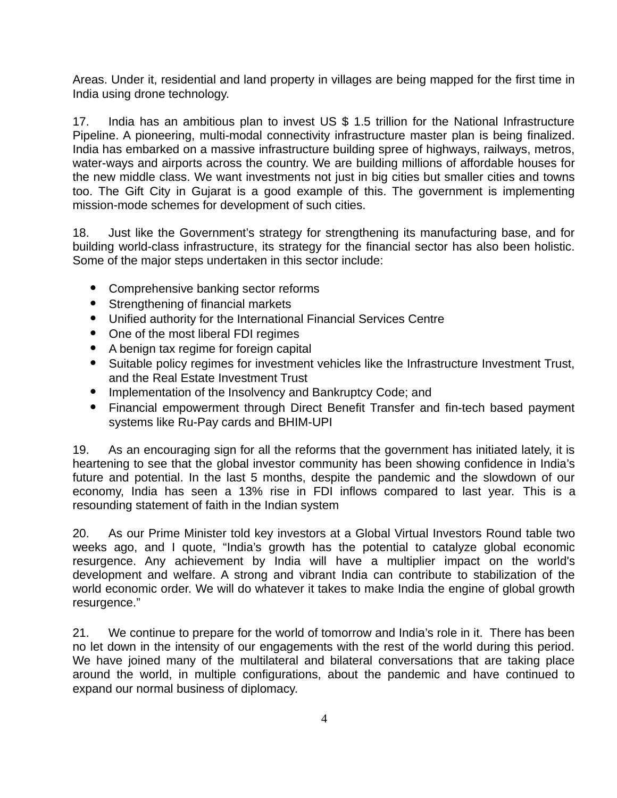Areas. Under it, residential and land property in villages are being mapped for the first time in India using drone technology.

17. India has an ambitious plan to invest US \$ 1.5 trillion for the National Infrastructure Pipeline. A pioneering, multi-modal connectivity infrastructure master plan is being finalized. India has embarked on a massive infrastructure building spree of highways, railways, metros, water-ways and airports across the country. We are building millions of affordable houses for the new middle class. We want investments not just in big cities but smaller cities and towns too. The Gift City in Gujarat is a good example of this. The government is implementing mission-mode schemes for development of such cities.

18. Just like the Government's strategy for strengthening its manufacturing base, and for building world-class infrastructure, its strategy for the financial sector has also been holistic. Some of the major steps undertaken in this sector include:

- Comprehensive banking sector reforms
- Strengthening of financial markets
- Unified authority for the International Financial Services Centre
- One of the most liberal FDI regimes
- A benign tax regime for foreign capital
- Suitable policy regimes for investment vehicles like the Infrastructure Investment Trust, and the Real Estate Investment Trust
- Implementation of the Insolvency and Bankruptcy Code; and
- Financial empowerment through Direct Benefit Transfer and fin-tech based payment systems like Ru-Pay cards and BHIM-UPI

19. As an encouraging sign for all the reforms that the government has initiated lately, it is heartening to see that the global investor community has been showing confidence in India's future and potential. In the last 5 months, despite the pandemic and the slowdown of our economy, India has seen a 13% rise in FDI inflows compared to last year. This is a resounding statement of faith in the Indian system

20. As our Prime Minister told key investors at a Global Virtual Investors Round table two weeks ago, and I quote, "India's growth has the potential to catalyze global economic resurgence. Any achievement by India will have a multiplier impact on the world's development and welfare. A strong and vibrant India can contribute to stabilization of the world economic order. We will do whatever it takes to make India the engine of global growth resurgence."

21. We continue to prepare for the world of tomorrow and India's role in it. There has been no let down in the intensity of our engagements with the rest of the world during this period. We have joined many of the multilateral and bilateral conversations that are taking place around the world, in multiple configurations, about the pandemic and have continued to expand our normal business of diplomacy.